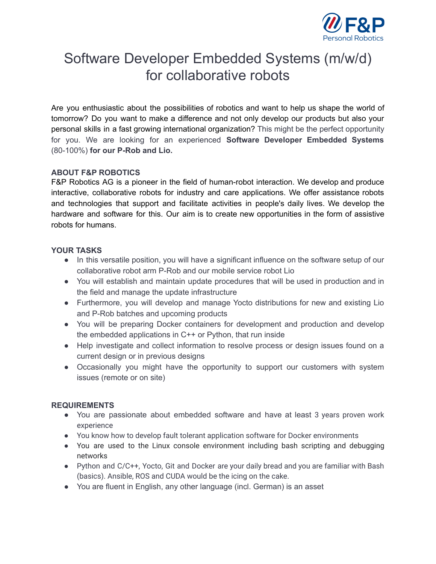

# Software Developer Embedded Systems (m/w/d) for collaborative robots

Are you enthusiastic about the possibilities of robotics and want to help us shape the world of tomorrow? Do you want to make a difference and not only develop our products but also your personal skills in a fast growing international organization? This might be the perfect opportunity for you. We are looking for an experienced **Software Developer Embedded Systems** (80-100%) **for our P-Rob and Lio.**

## **ABOUT F&P ROBOTICS**

F&P Robotics AG is a pioneer in the field of human-robot interaction. We develop and produce interactive, collaborative robots for industry and care applications. We offer assistance robots and technologies that support and facilitate activities in people's daily lives. We develop the hardware and software for this. Our aim is to create new opportunities in the form of assistive robots for humans.

## **YOUR TASKS**

- In this versatile position, you will have a significant influence on the software setup of our collaborative robot arm P-Rob and our mobile service robot Lio
- You will establish and maintain update procedures that will be used in production and in the field and manage the update infrastructure
- Furthermore, you will develop and manage Yocto distributions for new and existing Lio and P-Rob batches and upcoming products
- You will be preparing Docker containers for development and production and develop the embedded applications in C++ or Python, that run inside
- Help investigate and collect information to resolve process or design issues found on a current design or in previous designs
- Occasionally you might have the opportunity to support our customers with system issues (remote or on site)

## **REQUIREMENTS**

- You are passionate about embedded software and have at least 3 years proven work experience
- You know how to develop fault tolerant application software for Docker environments
- You are used to the Linux console environment including bash scripting and debugging networks
- Python and C/C++, Yocto, Git and Docker are your daily bread and you are familiar with Bash (basics). Ansible, ROS and CUDA would be the icing on the cake.
- You are fluent in English, any other language (incl. German) is an asset